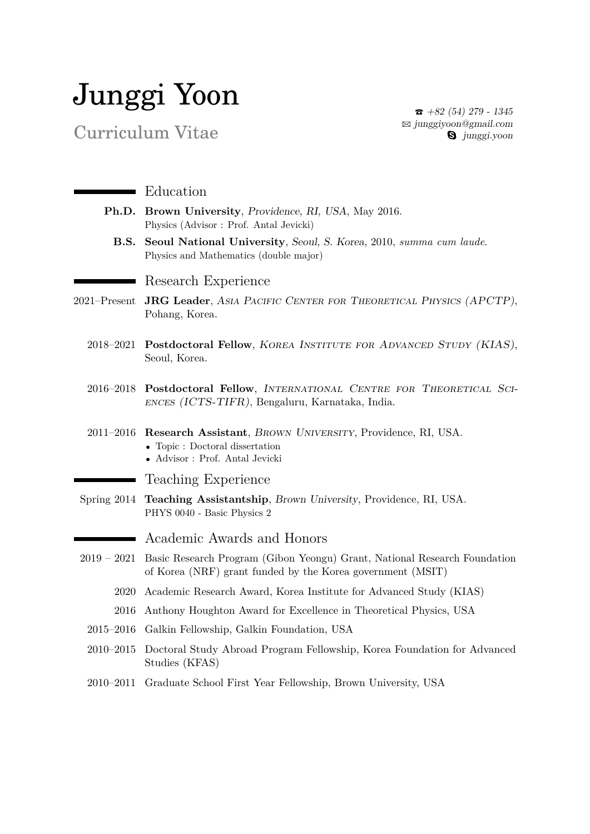## Junggi Yoon

Curriculum Vitae

 $\bullet$  +82 (54) 279 - 1345  $\boxtimes$  [junggiyoon@gmail.com](mailto:junggiyoon@gmail.com) **g** junggi.yoon

| $\blacksquare$   | Education                                                                                                                                          |
|------------------|----------------------------------------------------------------------------------------------------------------------------------------------------|
| Ph.D.            | Brown University, Providence, RI, USA, May 2016.<br>Physics (Advisor: Prof. Antal Jevicki)                                                         |
| <b>B.S.</b>      | Seoul National University, Seoul, S. Korea, 2010, summa cum laude.<br>Physics and Mathematics (double major)                                       |
|                  | Research Experience                                                                                                                                |
| $2021 -$ Present | <b>JRG Leader, ASIA PACIFIC CENTER FOR THEORETICAL PHYSICS (APCTP),</b><br>Pohang, Korea.                                                          |
| 2018–2021        | Postdoctoral Fellow, KOREA INSTITUTE FOR ADVANCED STUDY (KIAS),<br>Seoul, Korea.                                                                   |
|                  | 2016-2018 Postdoctoral Fellow, INTERNATIONAL CENTRE FOR THEORETICAL SCI-<br>ENCES (ICTS-TIFR), Bengaluru, Karnataka, India.                        |
| $2011 - 2016$    | Research Assistant, BROWN UNIVERSITY, Providence, RI, USA.<br>$\bullet$ Topic : Doctoral dissertation<br>$\bullet\,$ Advisor : Prof. Antal Jevicki |
|                  | <b>Teaching Experience</b>                                                                                                                         |
| Spring $2014$    | Teaching Assistantship, Brown University, Providence, RI, USA.<br>PHYS 0040 - Basic Physics 2                                                      |
|                  | Academic Awards and Honors                                                                                                                         |
| $2019 - 2021$    | Basic Research Program (Gibon Yeongu) Grant, National Research Foundation<br>of Korea (NRF) grant funded by the Korea government (MSIT)            |
| 2020             | Academic Research Award, Korea Institute for Advanced Study (KIAS)                                                                                 |
| 2016             | Anthony Houghton Award for Excellence in Theoretical Physics, USA                                                                                  |
| $2015 - 2016$    | Galkin Fellowship, Galkin Foundation, USA                                                                                                          |
| $2010 - 2015$    | Doctoral Study Abroad Program Fellowship, Korea Foundation for Advanced<br>Studies (KFAS)                                                          |
|                  | 2010–2011 Graduate School First Year Fellowship, Brown University, USA                                                                             |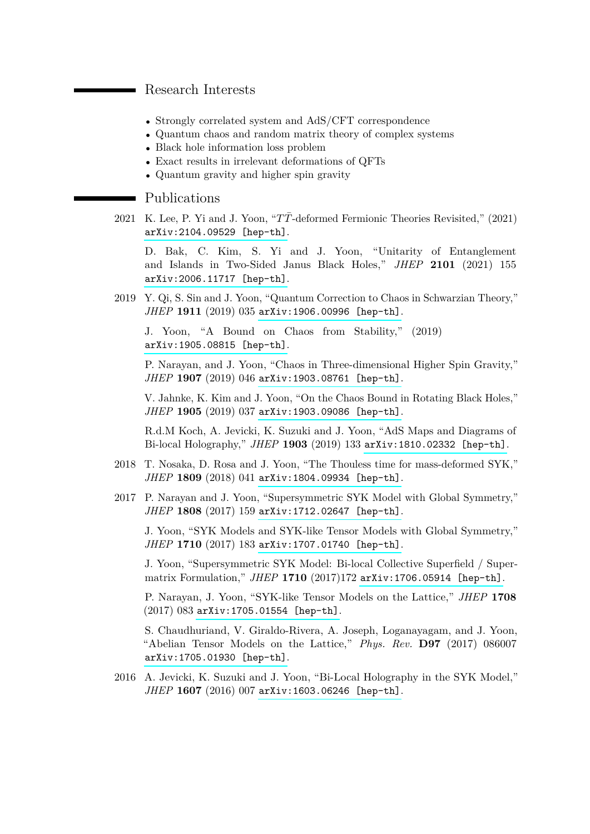## Research Interests

- Strongly correlated system and AdS/CFT correspondence
- Quantum chaos and random matrix theory of complex systems
- Black hole information loss problem
- Exact results in irrelevant deformations of QFTs
- Quantum gravity and higher spin gravity

## • Publications

2021 K. Lee, P. Yi and J. Yoon, "TT-deformed Fermionic Theories Revisited," (2021) [arXiv:2104.09529 \[hep-th\]](https://arxiv.org/pdf/2104.09529.pdf).

D. Bak, C. Kim, S. Yi and J. Yoon, "Unitarity of Entanglement and Islands in Two-Sided Janus Black Holes," *JHEP* **2101** (2021) 155 [arXiv:2006.11717 \[hep-th\]](https://arxiv.org/pdf/2006.11717.pdf).

2019 Y. Qi, S. Sin and J. Yoon, "Quantum Correction to Chaos in Schwarzian Theory," *JHEP* **1911** (2019) 035 [arXiv:1906.00996 \[hep-th\]](https://arxiv.org/pdf/1906.00996.pdf).

J. Yoon, "A Bound on Chaos from Stability," (2019) [arXiv:1905.08815 \[hep-th\]](https://arxiv.org/pdf/1905.08815.pdf).

P. Narayan, and J. Yoon, "Chaos in Three-dimensional Higher Spin Gravity," *JHEP* **1907** (2019) 046 [arXiv:1903.08761 \[hep-th\]](https://arxiv.org/pdf/1903.08761.pdf).

V. Jahnke, K. Kim and J. Yoon, "On the Chaos Bound in Rotating Black Holes," *JHEP* **1905** (2019) 037 [arXiv:1903.09086 \[hep-th\]](https://arxiv.org/pdf/1903.09086.pdf).

R.d.M Koch, A. Jevicki, K. Suzuki and J. Yoon, "AdS Maps and Diagrams of Bi-local Holography," *JHEP* **1903** (2019) 133 [arXiv:1810.02332 \[hep-th\]](https://arxiv.org/pdf/1810.02332.pdf).

- 2018 T. Nosaka, D. Rosa and J. Yoon, "The Thouless time for mass-deformed SYK," *JHEP* **1809** (2018) 041 [arXiv:1804.09934 \[hep-th\]](https://arxiv.org/pdf/1804.09934.pdf).
- 2017 P. Narayan and J. Yoon, "Supersymmetric SYK Model with Global Symmetry," *JHEP* **1808** (2017) 159 [arXiv:1712.02647 \[hep-th\]](https://arxiv.org/pdf/1712.02647.pdf).

J. Yoon, "SYK Models and SYK-like Tensor Models with Global Symmetry," *JHEP* **1710** (2017) 183 [arXiv:1707.01740 \[hep-th\]](https://arxiv.org/abs/1707.01740).

J. Yoon, "Supersymmetric SYK Model: Bi-local Collective Superfield / Supermatrix Formulation," *JHEP* **1710** (2017)172 [arXiv:1706.05914 \[hep-th\]](https://arxiv.org/abs/1706.05914).

P. Narayan, J. Yoon, "SYK-like Tensor Models on the Lattice," *JHEP* **1708** (2017) 083 [arXiv:1705.01554 \[hep-th\]](https://arxiv.org/abs/1705.01554).

S. Chaudhuriand, V. Giraldo-Rivera, A. Joseph, Loganayagam, and J. Yoon, "Abelian Tensor Models on the Lattice," *Phys. Rev.* **D97** (2017) 086007 [arXiv:1705.01930 \[hep-th\]](https://arxiv.org/abs/1705.01930).

2016 A. Jevicki, K. Suzuki and J. Yoon, "Bi-Local Holography in the SYK Model," *JHEP* **1607** (2016) 007 [arXiv:1603.06246 \[hep-th\]](https://arxiv.org/abs/1603.06246).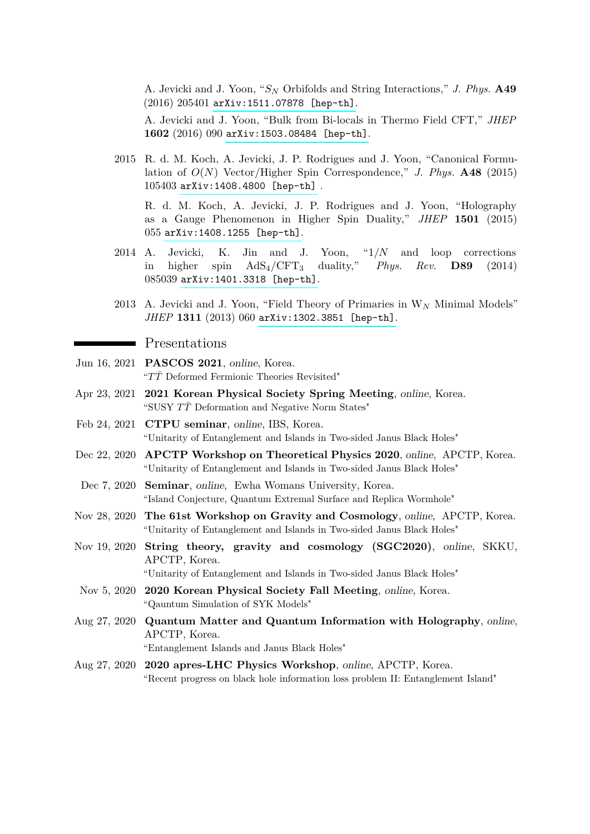A. Jevicki and J. Yoon, "*S<sup>N</sup>* Orbifolds and String Interactions," *J. Phys.* **A49** (2016) 205401 [arXiv:1511.07878 \[hep-th\]](http://arxiv.org/abs/1511.07878).

A. Jevicki and J. Yoon, "Bulk from Bi-locals in Thermo Field CFT," *JHEP* **1602** (2016) 090 [arXiv:1503.08484 \[hep-th\]](http://arxiv.org/abs/1503.08484).

2015 R. d. M. Koch, A. Jevicki, J. P. Rodrigues and J. Yoon, "Canonical Formulation of  $O(N)$  Vector/Higher Spin Correspondence," *J. Phys.* **A48** (2015) 105403 [arXiv:1408.4800 \[hep-th\]](http://arxiv.org/abs/1408.4800) .

R. d. M. Koch, A. Jevicki, J. P. Rodrigues and J. Yoon, "Holography as a Gauge Phenomenon in Higher Spin Duality," *JHEP* **1501** (2015) 055 [arXiv:1408.1255 \[hep-th\]](http://arxiv.org/abs/1408.1255).

- 2014 A. Jevicki, K. Jin and J. Yoon, "1*/N* and loop corrections in higher spin AdS4/CFT<sup>3</sup> duality," *Phys. Rev.* **D89** (2014) 085039 [arXiv:1401.3318 \[hep-th\]](http://arxiv.org/abs/1401.3318).
- 2013 A. Jevicki and J. Yoon, "Field Theory of Primaries in W*<sup>N</sup>* Minimal Models" *JHEP* **1311** (2013) 060 [arXiv:1302.3851 \[hep-th\]](http://arxiv.org/abs/1302.3851).

**Presentations** 

- Jun 16, 2021 **PASCOS 2021**, online, Korea. "*TT*¯ Deformed Fermionic Theories Revisited"
- Apr 23, 2021 **2021 Korean Physical Society Spring Meeting**, online, Korea. "SUSY  $T\bar{T}$  Deformation and Negative Norm States"
- Feb 24, 2021 **CTPU seminar**, online, IBS, Korea. "Unitarity of Entanglement and Islands in Two-sided Janus Black Holes"
- Dec 22, 2020 **APCTP Workshop on Theoretical Physics 2020**, online, APCTP, Korea. "Unitarity of Entanglement and Islands in Two-sided Janus Black Holes"
- Dec 7, 2020 **Seminar**, online, Ewha Womans University, Korea. "Island Conjecture, Quantum Extremal Surface and Replica Wormhole"
- Nov 28, 2020 **The 61st Workshop on Gravity and Cosmology**, online, APCTP, Korea. "Unitarity of Entanglement and Islands in Two-sided Janus Black Holes"
- Nov 19, 2020 **String theory, gravity and cosmology (SGC2020)**, online, SKKU, APCTP, Korea. "Unitarity of Entanglement and Islands in Two-sided Janus Black Holes"
- Nov 5, 2020 **2020 Korean Physical Society Fall Meeting**, online, Korea. "Qauntum Simulation of SYK Models"
- Aug 27, 2020 **Quantum Matter and Quantum Information with Holography**, online, APCTP, Korea. "Entanglement Islands and Janus Black Holes"
- Aug 27, 2020 **2020 apres-LHC Physics Workshop**, online, APCTP, Korea. "Recent progress on black hole information loss problem II: Entanglement Island"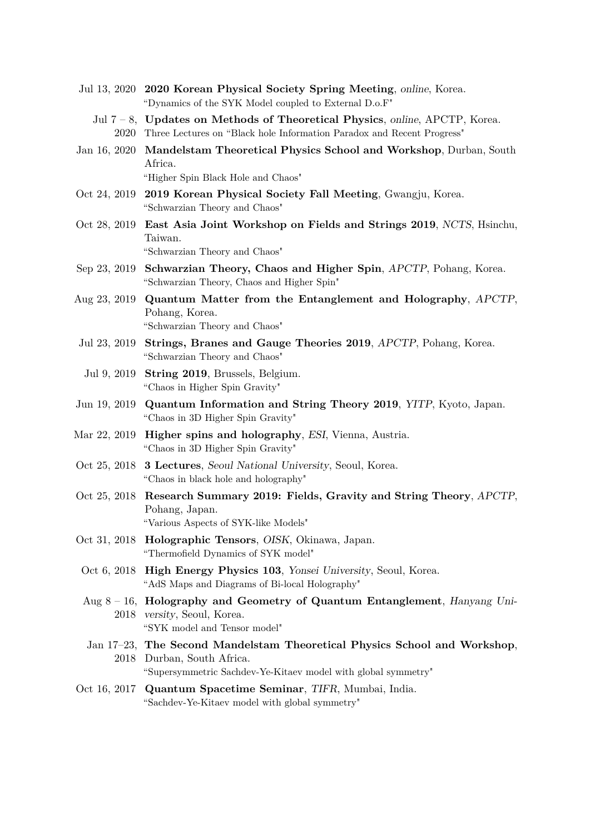- Jul 13, 2020 **2020 Korean Physical Society Spring Meeting**, online, Korea. "Dynamics of the SYK Model coupled to External D.o.F"
	- Jul 7 8, **Updates on Methods of Theoretical Physics**, online, APCTP, Korea. 2020 Three Lectures on "Black hole Information Paradox and Recent Progress"
- Jan 16, 2020 **Mandelstam Theoretical Physics School and Workshop**, Durban, South Africa. "Higher Spin Black Hole and Chaos"
- Oct 24, 2019 **2019 Korean Physical Society Fall Meeting**, Gwangju, Korea. "Schwarzian Theory and Chaos"
- Oct 28, 2019 **East Asia Joint Workshop on Fields and Strings 2019**, NCTS, Hsinchu, Taiwan. "Schwarzian Theory and Chaos"
- Sep 23, 2019 **Schwarzian Theory, Chaos and Higher Spin**, APCTP, Pohang, Korea. "Schwarzian Theory, Chaos and Higher Spin"
- Aug 23, 2019 **Quantum Matter from the Entanglement and Holography**, APCTP, Pohang, Korea. "Schwarzian Theory and Chaos"
- Jul 23, 2019 **Strings, Branes and Gauge Theories 2019**, APCTP, Pohang, Korea. "Schwarzian Theory and Chaos"
- Jul 9, 2019 **String 2019**, Brussels, Belgium. "Chaos in Higher Spin Gravity"
- Jun 19, 2019 **Quantum Information and String Theory 2019**, YITP, Kyoto, Japan. "Chaos in 3D Higher Spin Gravity"
- Mar 22, 2019 **Higher spins and holography**, ESI, Vienna, Austria. "Chaos in 3D Higher Spin Gravity"
- Oct 25, 2018 **3 Lectures**, Seoul National University, Seoul, Korea. "Chaos in black hole and holography"
- Oct 25, 2018 **Research Summary 2019: Fields, Gravity and String Theory**, APCTP, Pohang, Japan. "Various Aspects of SYK-like Models"
- Oct 31, 2018 **Holographic Tensors**, OISK, Okinawa, Japan. "Thermofield Dynamics of SYK model"
- Oct 6, 2018 **High Energy Physics 103**, Yonsei University, Seoul, Korea. "AdS Maps and Diagrams of Bi-local Holography"
- Aug 8 16, **Holography and Geometry of Quantum Entanglement**, Hanyang Uni-2018 versity, Seoul, Korea. "SYK model and Tensor model"
- Jan 17–23, **The Second Mandelstam Theoretical Physics School and Workshop**, 2018 Durban, South Africa. "Supersymmetric Sachdev-Ye-Kitaev model with global symmetry"
- Oct 16, 2017 **Quantum Spacetime Seminar**, TIFR, Mumbai, India. "Sachdev-Ye-Kitaev model with global symmetry"